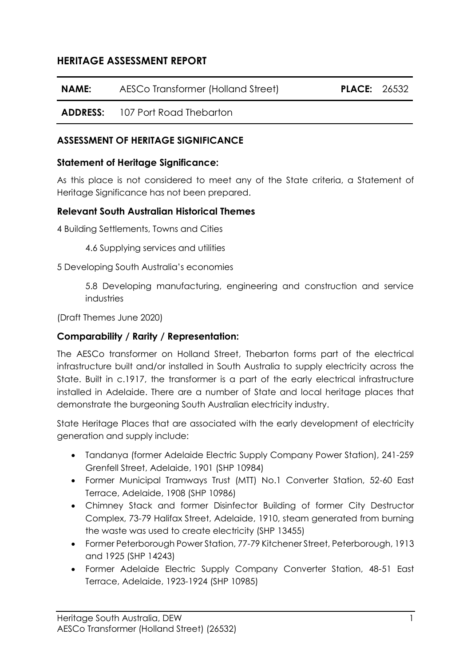# **HERITAGE ASSESSMENT REPORT**

| NAME: | AESCo Transformer (Holland Street)      | <b>PLACE: 26532</b> |  |
|-------|-----------------------------------------|---------------------|--|
|       | <b>ADDRESS:</b> 107 Port Road Thebarton |                     |  |

### **ASSESSMENT OF HERITAGE SIGNIFICANCE**

#### **Statement of Heritage Significance:**

As this place is not considered to meet any of the State criteria, a Statement of Heritage Significance has not been prepared.

### **Relevant South Australian Historical Themes**

4 Building Settlements, Towns and Cities

4.6 Supplying services and utilities

5 Developing South Australia's economies

5.8 Developing manufacturing, engineering and construction and service industries

(Draft Themes June 2020)

### **Comparability / Rarity / Representation:**

The AESCo transformer on Holland Street, Thebarton forms part of the electrical infrastructure built and/or installed in South Australia to supply electricity across the State. Built in c.1917, the transformer is a part of the early electrical infrastructure installed in Adelaide. There are a number of State and local heritage places that demonstrate the burgeoning South Australian electricity industry.

State Heritage Places that are associated with the early development of electricity generation and supply include:

- Tandanya (former Adelaide Electric Supply Company Power Station), 241-259 Grenfell Street, Adelaide, 1901 (SHP 10984)
- Former Municipal Tramways Trust (MTT) No.1 Converter Station, 52-60 East Terrace, Adelaide, 1908 (SHP 10986)
- Chimney Stack and former Disinfector Building of former City Destructor Complex, 73-79 Halifax Street, Adelaide, 1910, steam generated from burning the waste was used to create electricity (SHP 13455)
- Former Peterborough Power Station, 77-79 Kitchener Street, Peterborough, 1913 and 1925 (SHP 14243)
- Former Adelaide Electric Supply Company Converter Station, 48-51 East Terrace, Adelaide, 1923-1924 (SHP 10985)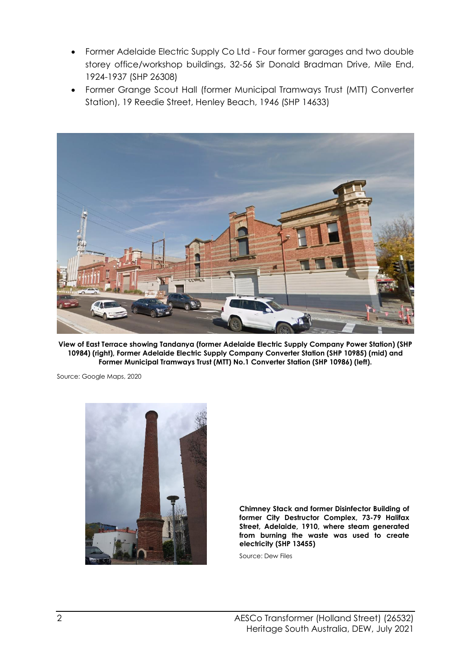- Former Adelaide Electric Supply Co Ltd Four former garages and two double storey office/workshop buildings, 32-56 Sir Donald Bradman Drive, Mile End, 1924-1937 (SHP 26308)
- Former Grange Scout Hall (former Municipal Tramways Trust (MTT) Converter Station), 19 Reedie Street, Henley Beach, 1946 (SHP 14633)



**View of East Terrace showing Tandanya (former Adelaide Electric Supply Company Power Station) (SHP 10984) (right), Former Adelaide Electric Supply Company Converter Station (SHP 10985) (mid) and Former Municipal Tramways Trust (MTT) No.1 Converter Station (SHP 10986) (left).**

Source: Google Maps, 2020



**Chimney Stack and former Disinfector Building of former City Destructor Complex, 73-79 Halifax Street, Adelaide, 1910, where steam generated from burning the waste was used to create electricity (SHP 13455)**

Source: Dew Files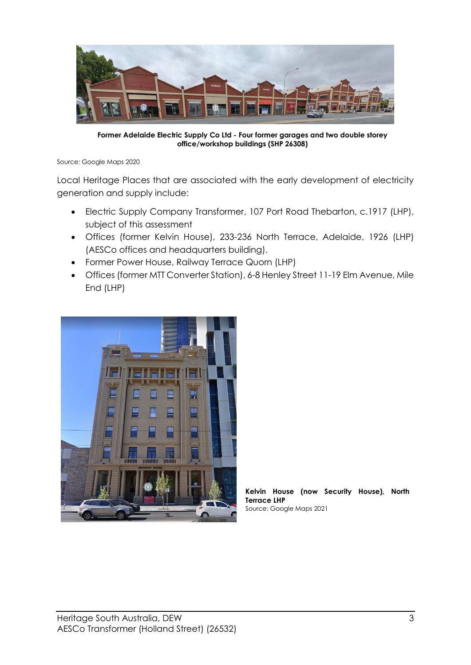

**Former Adelaide Electric Supply Co Ltd - Four former garages and two double storey office/workshop buildings (SHP 26308)**

Source: Google Maps 2020

Local Heritage Places that are associated with the early development of electricity generation and supply include:

- Electric Supply Company Transformer, 107 Port Road Thebarton, c.1917 (LHP), subject of this assessment
- Offices (former Kelvin House), 233-236 North Terrace, Adelaide, 1926 (LHP) (AESCo offices and headquarters building).
- Former Power House, Railway Terrace Quorn (LHP)
- Offices (former MTT Converter Station), 6-8 Henley Street 11-19 Elm Avenue, Mile End (LHP)



**Kelvin House (now Security House), North Terrace LHP** Source: Google Maps 2021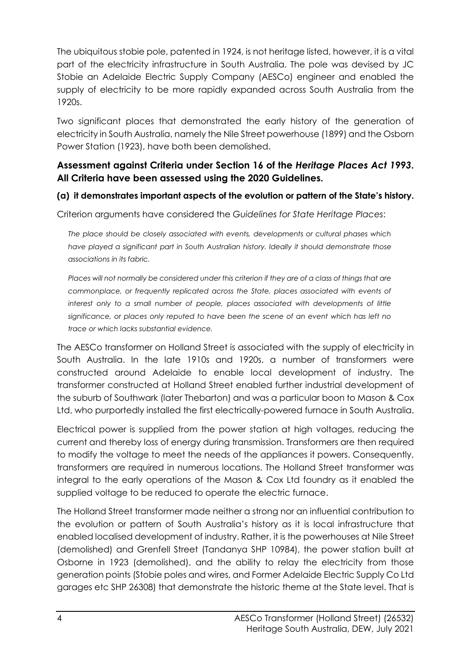The ubiquitous stobie pole, patented in 1924, is not heritage listed, however, it is a vital part of the electricity infrastructure in South Australia. The pole was devised by JC Stobie an Adelaide Electric Supply Company (AESCo) engineer and enabled the supply of electricity to be more rapidly expanded across South Australia from the 1920s.

Two significant places that demonstrated the early history of the generation of electricity in South Australia, namely the Nile Street powerhouse (1899) and the Osborn Power Station (1923), have both been demolished.

### **Assessment against Criteria under Section 16 of the** *Heritage Places Act 1993***. All Criteria have been assessed using the 2020 Guidelines.**

### **(a) it demonstrates important aspects of the evolution or pattern of the State's history.**

Criterion arguments have considered the *Guidelines for State Heritage Places*:

*The place should be closely associated with events, developments or cultural phases which*  have played a significant part in South Australian history. Ideally it should demonstrate those *associations in its fabric.*

Places will not normally be considered under this criterion if they are of a class of things that are *commonplace, or frequently replicated across the State, places associated with events of*  interest only to a small number of people, places associated with developments of little *significance, or places only reputed to have been the scene of an event which has left no trace or which lacks substantial evidence.*

The AESCo transformer on Holland Street is associated with the supply of electricity in South Australia. In the late 1910s and 1920s, a number of transformers were constructed around Adelaide to enable local development of industry. The transformer constructed at Holland Street enabled further industrial development of the suburb of Southwark (later Thebarton) and was a particular boon to Mason & Cox Ltd, who purportedly installed the first electrically-powered furnace in South Australia.

Electrical power is supplied from the power station at high voltages, reducing the current and thereby loss of energy during transmission. Transformers are then required to modify the voltage to meet the needs of the appliances it powers. Consequently, transformers are required in numerous locations. The Holland Street transformer was integral to the early operations of the Mason & Cox Ltd foundry as it enabled the supplied voltage to be reduced to operate the electric furnace.

The Holland Street transformer made neither a strong nor an influential contribution to the evolution or pattern of South Australia's history as it is local infrastructure that enabled localised development of industry. Rather, it is the powerhouses at Nile Street (demolished) and Grenfell Street (Tandanya SHP 10984), the power station built at Osborne in 1923 (demolished), and the ability to relay the electricity from those generation points (Stobie poles and wires, and Former Adelaide Electric Supply Co Ltd garages etc SHP 26308) that demonstrate the historic theme at the State level. That is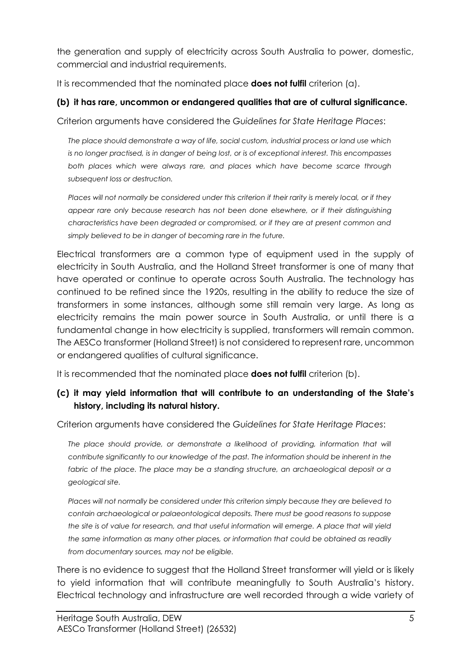the generation and supply of electricity across South Australia to power, domestic, commercial and industrial requirements.

It is recommended that the nominated place **does not fulfil** criterion (a).

### **(b) it has rare, uncommon or endangered qualities that are of cultural significance.**

Criterion arguments have considered the *Guidelines for State Heritage Places*:

*The place should demonstrate a way of life, social custom, industrial process or land use which is no longer practised, is in danger of being lost, or is of exceptional interest. This encompasses*  both places which were always rare, and places which have become scarce through *subsequent loss or destruction.*

*Places will not normally be considered under this criterion if their rarity is merely local, or if they*  appear rare only because research has not been done elsewhere, or if their distinguishing *characteristics have been degraded or compromised, or if they are at present common and simply believed to be in danger of becoming rare in the future.*

Electrical transformers are a common type of equipment used in the supply of electricity in South Australia, and the Holland Street transformer is one of many that have operated or continue to operate across South Australia. The technology has continued to be refined since the 1920s, resulting in the ability to reduce the size of transformers in some instances, although some still remain very large. As long as electricity remains the main power source in South Australia, or until there is a fundamental change in how electricity is supplied, transformers will remain common. The AESCo transformer (Holland Street) is not considered to represent rare, uncommon or endangered qualities of cultural significance.

It is recommended that the nominated place **does not fulfil** criterion (b).

# **(c) it may yield information that will contribute to an understanding of the State's history, including its natural history.**

Criterion arguments have considered the *Guidelines for State Heritage Places*:

The place should provide, or demonstrate a likelihood of providing, information that will *contribute significantly to our knowledge of the past. The information should be inherent in the*  fabric of the place. The place may be a standing structure, an archaeological deposit or a *geological site.*

*Places will not normally be considered under this criterion simply because they are believed to contain archaeological or palaeontological deposits. There must be good reasons to suppose the site is of value for research, and that useful information will emerge. A place that will yield the same information as many other places, or information that could be obtained as readily from documentary sources, may not be eligible.*

There is no evidence to suggest that the Holland Street transformer will yield or is likely to yield information that will contribute meaningfully to South Australia's history. Electrical technology and infrastructure are well recorded through a wide variety of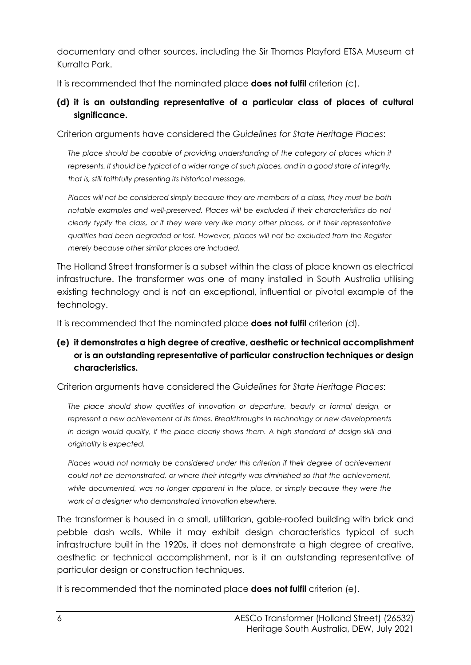documentary and other sources, including the Sir Thomas Playford ETSA Museum at Kurralta Park.

It is recommended that the nominated place **does not fulfil** criterion (c).

# **(d) it is an outstanding representative of a particular class of places of cultural significance.**

Criterion arguments have considered the *Guidelines for State Heritage Places*:

*The place should be capable of providing understanding of the category of places which it represents. It should be typical of a wider range of such places, and in a good state of integrity, that is, still faithfully presenting its historical message.*

*Places will not be considered simply because they are members of a class, they must be both notable examples and well-preserved. Places will be excluded if their characteristics do not clearly typify the class, or if they were very like many other places, or if their representative qualities had been degraded or lost. However, places will not be excluded from the Register merely because other similar places are included.*

The Holland Street transformer is a subset within the class of place known as electrical infrastructure. The transformer was one of many installed in South Australia utilising existing technology and is not an exceptional, influential or pivotal example of the technology.

It is recommended that the nominated place **does not fulfil** criterion (d).

# **(e) it demonstrates a high degree of creative, aesthetic or technical accomplishment or is an outstanding representative of particular construction techniques or design characteristics.**

Criterion arguments have considered the *Guidelines for State Heritage Places*:

The place should show qualities of innovation or departure, beauty or formal design, or *represent a new achievement of its times. Breakthroughs in technology or new developments in design would qualify, if the place clearly shows them. A high standard of design skill and originality is expected.*

Places would not normally be considered under this criterion if their degree of achievement *could not be demonstrated, or where their integrity was diminished so that the achievement, while documented, was no longer apparent in the place, or simply because they were the work of a designer who demonstrated innovation elsewhere.*

The transformer is housed in a small, utilitarian, gable-roofed building with brick and pebble dash walls. While it may exhibit design characteristics typical of such infrastructure built in the 1920s, it does not demonstrate a high degree of creative, aesthetic or technical accomplishment, nor is it an outstanding representative of particular design or construction techniques.

It is recommended that the nominated place **does not fulfil** criterion (e).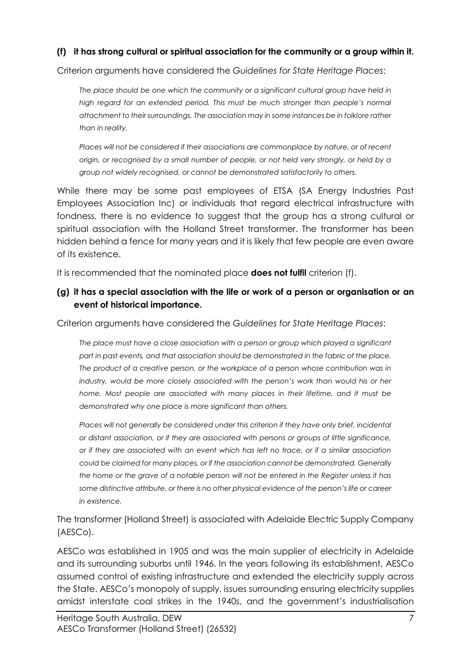### **(f) it has strong cultural or spiritual association for the community or a group within it.**

Criterion arguments have considered the *Guidelines for State Heritage Places*:

*The place should be one which the community or a significant cultural group have held in high regard for an extended period. This must be much stronger than people's normal attachment to their surroundings. The association may in some instances be in folklore rather than in reality.*

*Places will not be considered if their associations are commonplace by nature, or of recent origin, or recognised by a small number of people, or not held very strongly, or held by a group not widely recognised, or cannot be demonstrated satisfactorily to others.*

While there may be some past employees of ETSA (SA Energy Industries Past Employees Association Inc) or individuals that regard electrical infrastructure with fondness, there is no evidence to suggest that the group has a strong cultural or spiritual association with the Holland Street transformer. The transformer has been hidden behind a fence for many years and it is likely that few people are even aware of its existence.

It is recommended that the nominated place **does not fulfil** criterion (f).

### **(g) it has a special association with the life or work of a person or organisation or an event of historical importance.**

Criterion arguments have considered the *Guidelines for State Heritage Places*:

*The place must have a close association with a person or group which played a significant part in past events, and that association should be demonstrated in the fabric of the place. The product of a creative person, or the workplace of a person whose contribution was in industry, would be more closely associated with the person's work than would his or her*  home. Most people are associated with many places in their lifetime, and it must be *demonstrated why one place is more significant than others.* 

*Places will not generally be considered under this criterion if they have only brief, incidental or distant association, or if they are associated with persons or groups of little significance, or if they are associated with an event which has left no trace, or if a similar association could be claimed for many places, or if the association cannot be demonstrated. Generally the home or the grave of a notable person will not be entered in the Register unless it has some distinctive attribute, or there is no other physical evidence of the person's life or career in existence.*

The transformer (Holland Street) is associated with Adelaide Electric Supply Company (AESCo).

AESCo was established in 1905 and was the main supplier of electricity in Adelaide and its surrounding suburbs until 1946. In the years following its establishment, AESCo assumed control of existing infrastructure and extended the electricity supply across the State. AESCo's monopoly of supply, issues surrounding ensuring electricity supplies amidst interstate coal strikes in the 1940s, and the government's industrialisation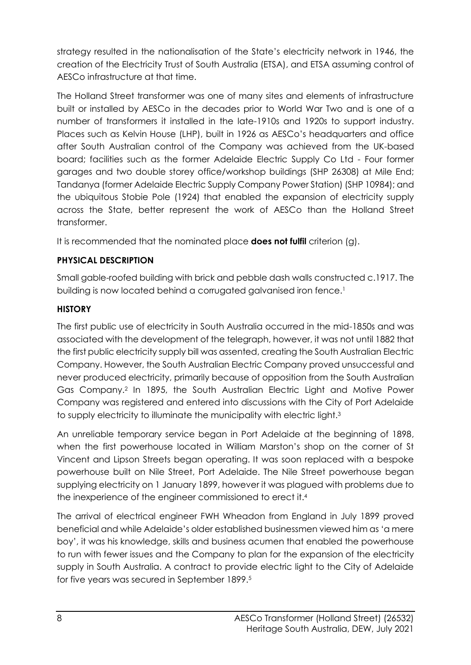strategy resulted in the nationalisation of the State's electricity network in 1946, the creation of the Electricity Trust of South Australia (ETSA), and ETSA assuming control of AESCo infrastructure at that time.

The Holland Street transformer was one of many sites and elements of infrastructure built or installed by AESCo in the decades prior to World War Two and is one of a number of transformers it installed in the late-1910s and 1920s to support industry. Places such as Kelvin House (LHP), built in 1926 as AESCo's headquarters and office after South Australian control of the Company was achieved from the UK-based board; facilities such as the former Adelaide Electric Supply Co Ltd - Four former garages and two double storey office/workshop buildings (SHP 26308) at Mile End; Tandanya (former Adelaide Electric Supply Company Power Station) (SHP 10984); and the ubiquitous Stobie Pole (1924) that enabled the expansion of electricity supply across the State, better represent the work of AESCo than the Holland Street transformer.

It is recommended that the nominated place **does not fulfil** criterion (g).

# **PHYSICAL DESCRIPTION**

Small gable-roofed building with brick and pebble dash walls constructed c.1917. The building is now located behind a corrugated galvanised iron fence. 1

# **HISTORY**

The first public use of electricity in South Australia occurred in the mid-1850s and was associated with the development of the telegraph, however, it was not until 1882 that the first public electricity supply bill was assented, creating the South Australian Electric Company. However, the South Australian Electric Company proved unsuccessful and never produced electricity, primarily because of opposition from the South Australian Gas Company. 2 In 1895, the South Australian Electric Light and Motive Power Company was registered and entered into discussions with the City of Port Adelaide to supply electricity to illuminate the municipality with electric light.<sup>3</sup>

An unreliable temporary service began in Port Adelaide at the beginning of 1898, when the first powerhouse located in William Marston's shop on the corner of St Vincent and Lipson Streets began operating. It was soon replaced with a bespoke powerhouse built on Nile Street, Port Adelaide. The Nile Street powerhouse began supplying electricity on 1 January 1899, however it was plagued with problems due to the inexperience of the engineer commissioned to erect it.<sup>4</sup>

The arrival of electrical engineer FWH Wheadon from England in July 1899 proved beneficial and while Adelaide's older established businessmen viewed him as 'a mere boy', it was his knowledge, skills and business acumen that enabled the powerhouse to run with fewer issues and the Company to plan for the expansion of the electricity supply in South Australia. A contract to provide electric light to the City of Adelaide for five years was secured in September 1899.5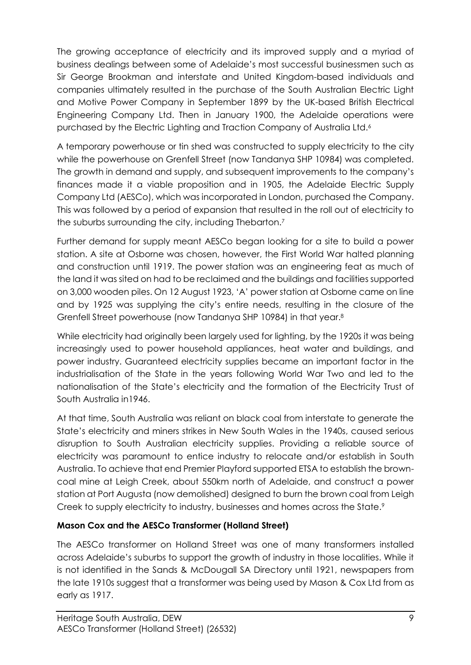The growing acceptance of electricity and its improved supply and a myriad of business dealings between some of Adelaide's most successful businessmen such as Sir George Brookman and interstate and United Kingdom-based individuals and companies ultimately resulted in the purchase of the South Australian Electric Light and Motive Power Company in September 1899 by the UK-based British Electrical Engineering Company Ltd. Then in January 1900, the Adelaide operations were purchased by the Electric Lighting and Traction Company of Australia Ltd.<sup>6</sup>

A temporary powerhouse or tin shed was constructed to supply electricity to the city while the powerhouse on Grenfell Street (now Tandanya SHP 10984) was completed. The growth in demand and supply, and subsequent improvements to the company's finances made it a viable proposition and in 1905, the Adelaide Electric Supply Company Ltd (AESCo), which was incorporated in London, purchased the Company. This was followed by a period of expansion that resulted in the roll out of electricity to the suburbs surrounding the city, including Thebarton.<sup>7</sup>

Further demand for supply meant AESCo began looking for a site to build a power station. A site at Osborne was chosen, however, the First World War halted planning and construction until 1919. The power station was an engineering feat as much of the land it was sited on had to be reclaimed and the buildings and facilities supported on 3,000 wooden piles. On 12 August 1923, 'A' power station at Osborne came on line and by 1925 was supplying the city's entire needs, resulting in the closure of the Grenfell Street powerhouse (now Tandanya SHP 10984) in that year.<sup>8</sup>

While electricity had originally been largely used for lighting, by the 1920s it was being increasingly used to power household appliances, heat water and buildings, and power industry. Guaranteed electricity supplies became an important factor in the industrialisation of the State in the years following World War Two and led to the nationalisation of the State's electricity and the formation of the Electricity Trust of South Australia in1946.

At that time, South Australia was reliant on black coal from interstate to generate the State's electricity and miners strikes in New South Wales in the 1940s, caused serious disruption to South Australian electricity supplies. Providing a reliable source of electricity was paramount to entice industry to relocate and/or establish in South Australia. To achieve that end Premier Playford supported ETSA to establish the browncoal mine at Leigh Creek, about 550km north of Adelaide, and construct a power station at Port Augusta (now demolished) designed to burn the brown coal from Leigh Creek to supply electricity to industry, businesses and homes across the State.<sup>9</sup>

# **Mason Cox and the AESCo Transformer (Holland Street)**

The AESCo transformer on Holland Street was one of many transformers installed across Adelaide's suburbs to support the growth of industry in those localities. While it is not identified in the Sands & McDougall SA Directory until 1921, newspapers from the late 1910s suggest that a transformer was being used by Mason & Cox Ltd from as early as 1917.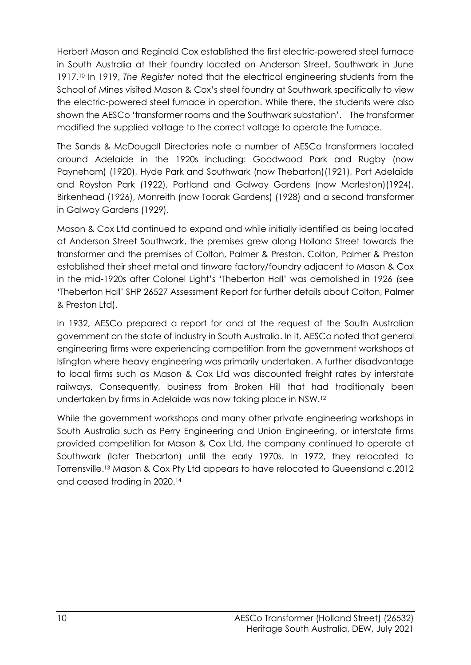Herbert Mason and Reginald Cox established the first electric-powered steel furnace in South Australia at their foundry located on Anderson Street, Southwark in June 1917.<sup>10</sup> In 1919, *The Register* noted that the electrical engineering students from the School of Mines visited Mason & Cox's steel foundry at Southwark specifically to view the electric-powered steel furnace in operation. While there, the students were also shown the AESCo 'transformer rooms and the Southwark substation'.<sup>11</sup> The transformer modified the supplied voltage to the correct voltage to operate the furnace.

The Sands & McDougall Directories note a number of AESCo transformers located around Adelaide in the 1920s including: Goodwood Park and Rugby (now Payneham) (1920), Hyde Park and Southwark (now Thebarton)(1921), Port Adelaide and Royston Park (1922), Portland and Galway Gardens (now Marleston)(1924), Birkenhead (1926), Monreith (now Toorak Gardens) (1928) and a second transformer in Galway Gardens (1929).

Mason & Cox Ltd continued to expand and while initially identified as being located at Anderson Street Southwark, the premises grew along Holland Street towards the transformer and the premises of Colton, Palmer & Preston. Colton, Palmer & Preston established their sheet metal and tinware factory/foundry adjacent to Mason & Cox in the mid-1920s after Colonel Light's 'Theberton Hall' was demolished in 1926 (see 'Theberton Hall' SHP 26527 Assessment Report for further details about Colton, Palmer & Preston Ltd).

In 1932, AESCo prepared a report for and at the request of the South Australian government on the state of industry in South Australia. In it, AESCo noted that general engineering firms were experiencing competition from the government workshops at Islington where heavy engineering was primarily undertaken. A further disadvantage to local firms such as Mason & Cox Ltd was discounted freight rates by interstate railways. Consequently, business from Broken Hill that had traditionally been undertaken by firms in Adelaide was now taking place in NSW.<sup>12</sup>

While the government workshops and many other private engineering workshops in South Australia such as Perry Engineering and Union Engineering, or interstate firms provided competition for Mason & Cox Ltd, the company continued to operate at Southwark (later Thebarton) until the early 1970s. In 1972, they relocated to Torrensville.<sup>13</sup> Mason & Cox Pty Ltd appears to have relocated to Queensland c.2012 and ceased trading in 2020.14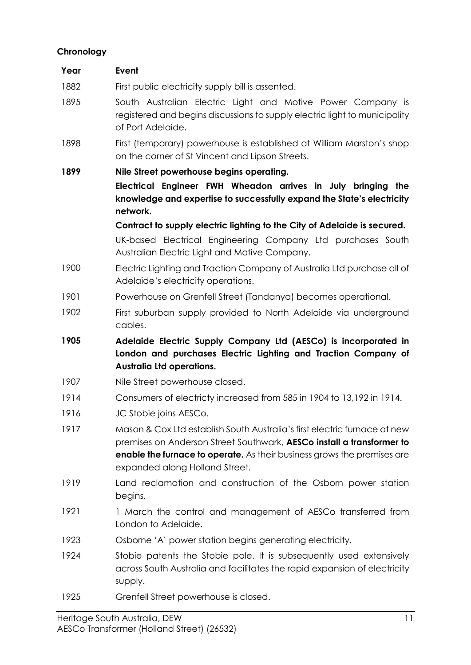### **Chronology**

| Year | Event                                                                                                                                                                                                                                                                  |  |  |  |  |
|------|------------------------------------------------------------------------------------------------------------------------------------------------------------------------------------------------------------------------------------------------------------------------|--|--|--|--|
| 1882 | First public electricity supply bill is assented.                                                                                                                                                                                                                      |  |  |  |  |
| 1895 | South Australian Electric Light and Motive Power Company is<br>registered and begins discussions to supply electric light to municipality<br>of Port Adelaide.                                                                                                         |  |  |  |  |
| 1898 | First (temporary) powerhouse is established at William Marston's shop<br>on the corner of St Vincent and Lipson Streets.                                                                                                                                               |  |  |  |  |
| 1899 | Nile Street powerhouse begins operating.                                                                                                                                                                                                                               |  |  |  |  |
|      | Electrical Engineer FWH Wheadon arrives in July bringing the<br>knowledge and expertise to successfully expand the State's electricity<br>network.                                                                                                                     |  |  |  |  |
|      | Contract to supply electric lighting to the City of Adelaide is secured.                                                                                                                                                                                               |  |  |  |  |
|      | UK-based Electrical Engineering Company Ltd purchases South<br>Australian Electric Light and Motive Company.                                                                                                                                                           |  |  |  |  |
| 1900 | Electric Lighting and Traction Company of Australia Ltd purchase all of<br>Adelaide's electricity operations.                                                                                                                                                          |  |  |  |  |
| 1901 | Powerhouse on Grenfell Street (Tandanya) becomes operational.                                                                                                                                                                                                          |  |  |  |  |
| 1902 | First suburban supply provided to North Adelaide via underground<br>cables.                                                                                                                                                                                            |  |  |  |  |
| 1905 | Adelaide Electric Supply Company Ltd (AESCo) is incorporated in<br>London and purchases Electric Lighting and Traction Company of<br><b>Australia Ltd operations.</b>                                                                                                  |  |  |  |  |
| 1907 | Nile Street powerhouse closed.                                                                                                                                                                                                                                         |  |  |  |  |
| 1914 | Consumers of electricty increased from 585 in 1904 to 13,192 in 1914.                                                                                                                                                                                                  |  |  |  |  |
| 1916 | JC Stobie joins AESCo.                                                                                                                                                                                                                                                 |  |  |  |  |
| 1917 | Mason & Cox Ltd establish South Australia's first electric furnace at new<br>premises on Anderson Street Southwark, AESCo install a transformer to<br><b>enable the furnace to operate.</b> As their business grows the premises are<br>expanded along Holland Street. |  |  |  |  |
| 1919 | Land reclamation and construction of the Osborn power station<br>begins.                                                                                                                                                                                               |  |  |  |  |
| 1921 | 1 March the control and management of AESCo transferred from<br>London to Adelaide.                                                                                                                                                                                    |  |  |  |  |
| 1923 | Osborne 'A' power station begins generating electricity.                                                                                                                                                                                                               |  |  |  |  |
| 1924 | Stobie patents the Stobie pole. It is subsequently used extensively<br>supply.                                                                                                                                                                                         |  |  |  |  |
|      | across South Australia and facilitates the rapid expansion of electricity                                                                                                                                                                                              |  |  |  |  |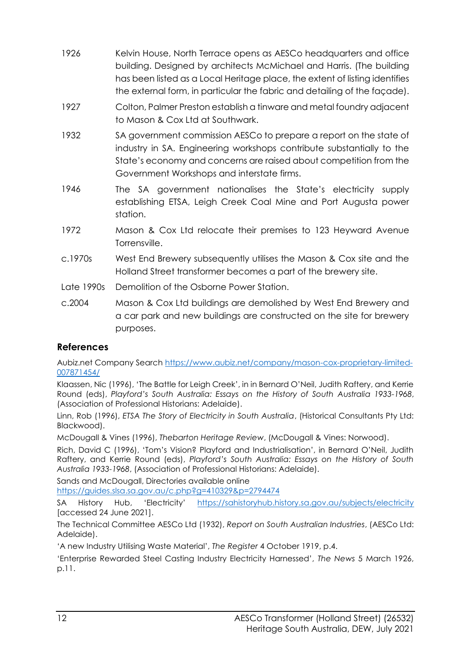- 1926 Kelvin House, North Terrace opens as AESCo headquarters and office building. Designed by architects McMichael and Harris. (The building has been listed as a Local Heritage place, the extent of listing identifies the external form, in particular the fabric and detailing of the façade).
- 1927 Colton, Palmer Preston establish a tinware and metal foundry adjacent to Mason & Cox Ltd at Southwark.
- 1932 SA government commission AESCo to prepare a report on the state of industry in SA. Engineering workshops contribute substantially to the State's economy and concerns are raised about competition from the Government Workshops and interstate firms.
- 1946 The SA government nationalises the State's electricity supply establishing ETSA, Leigh Creek Coal Mine and Port Augusta power station.
- 1972 Mason & Cox Ltd relocate their premises to 123 Heyward Avenue Torrensville.
- c.1970s West End Brewery subsequently utilises the Mason & Cox site and the Holland Street transformer becomes a part of the brewery site.
- Late 1990s Demolition of the Osborne Power Station.
- c.2004 Mason & Cox Ltd buildings are demolished by West End Brewery and a car park and new buildings are constructed on the site for brewery purposes.

# **References**

Aubiz.net Company Search [https://www.aubiz.net/company/mason-cox-proprietary-limited-](https://www.aubiz.net/company/mason-cox-proprietary-limited-007871454/)[007871454/](https://www.aubiz.net/company/mason-cox-proprietary-limited-007871454/)

Klaassen, Nic (1996), 'The Battle for Leigh Creek', in in Bernard O'Neil, Judith Raftery, and Kerrie Round (eds), *Playford's South Australia: Essays on the History of South Australia 1933-1968*, (Association of Professional Historians: Adelaide).

Linn, Rob (1996), *ETSA The Story of Electricity in South Australia*, (Historical Consultants Pty Ltd: Blackwood).

McDougall & Vines (1996), *Thebarton Heritage Review*, (McDougall & Vines: Norwood).

Rich, David C (1996), 'Tom's Vision? Playford and Industrialisation', in Bernard O'Neil, Judith Raftery, and Kerrie Round (eds), *Playford's South Australia: Essays on the History of South Australia 1933-1968*, (Association of Professional Historians: Adelaide).

Sands and McDougall, Directories available online

<https://guides.slsa.sa.gov.au/c.php?g=410329&p=2794474>

SA History Hub, 'Electricity' <https://sahistoryhub.history.sa.gov.au/subjects/electricity> [accessed 24 June 2021].

The Technical Committee AESCo Ltd (1932), *Report on South Australian Industries*, (AESCo Ltd: Adelaide).

'A new Industry Utilising Waste Material', *The Register* 4 October 1919, p.4.

'Enterprise Rewarded Steel Casting Industry Electricity Harnessed', *The News* 5 March 1926, p.11.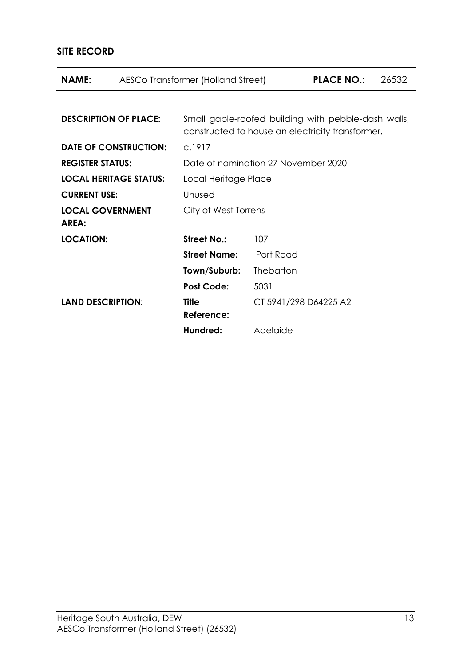# **SITE RECORD**

| NAME:                            |  | AESCo Transformer (Holland Street)                                                                      |                       | <b>PLACE NO.:</b> | 26532 |  |
|----------------------------------|--|---------------------------------------------------------------------------------------------------------|-----------------------|-------------------|-------|--|
|                                  |  |                                                                                                         |                       |                   |       |  |
| <b>DESCRIPTION OF PLACE:</b>     |  | Small gable-roofed building with pebble-dash walls,<br>constructed to house an electricity transformer. |                       |                   |       |  |
| <b>DATE OF CONSTRUCTION:</b>     |  | C.1917                                                                                                  |                       |                   |       |  |
| <b>REGISTER STATUS:</b>          |  | Date of nomination 27 November 2020                                                                     |                       |                   |       |  |
| <b>LOCAL HERITAGE STATUS:</b>    |  | Local Heritage Place                                                                                    |                       |                   |       |  |
| <b>CURRENT USE:</b>              |  | Unused                                                                                                  |                       |                   |       |  |
| <b>LOCAL GOVERNMENT</b><br>AREA: |  | City of West Torrens                                                                                    |                       |                   |       |  |
| <b>LOCATION:</b>                 |  | <b>Street No.:</b>                                                                                      | 107                   |                   |       |  |
|                                  |  | <b>Street Name:</b>                                                                                     | Port Road             |                   |       |  |
|                                  |  | Town/Suburb:                                                                                            | <b>Thebarton</b>      |                   |       |  |
|                                  |  | <b>Post Code:</b>                                                                                       | 5031                  |                   |       |  |
| <b>LAND DESCRIPTION:</b>         |  | <b>Title</b><br>Reference:                                                                              | CT 5941/298 D64225 A2 |                   |       |  |
|                                  |  | Hundred:                                                                                                | Adelaide              |                   |       |  |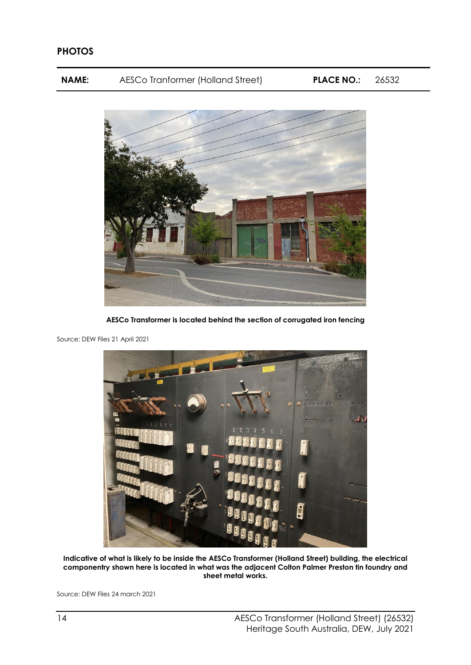**NAME:** AESCo Tranformer (Holland Street) **PLACE NO.:** 26532



**AESCo Transformer is located behind the section of corrugated iron fencing**



Source: DEW Files 21 April 2021

**Indicative of what is likely to be inside the AESCo Transformer (Holland Street) building, the electrical componentry shown here is located in what was the adjacent Colton Palmer Preston tin foundry and sheet metal works.** 

Source: DEW Files 24 march 2021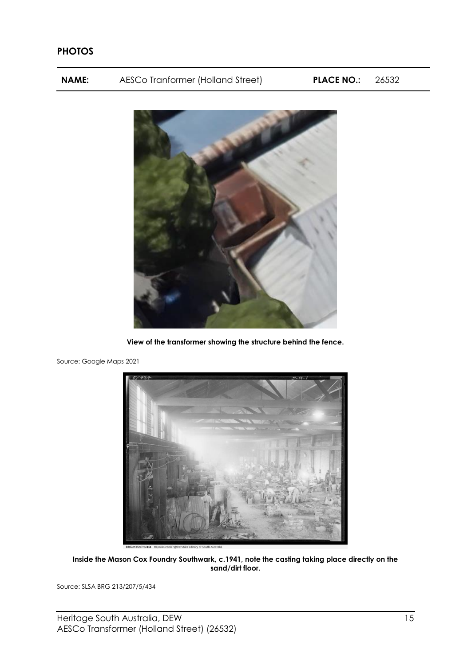### **PHOTOS**

**NAME:** AESCo Tranformer (Holland Street) **PLACE NO.:** 26532



**View of the transformer showing the structure behind the fence.**

Source: Google Maps 2021



**Inside the Mason Cox Foundry Southwark, c.1941, note the casting taking place directly on the sand/dirt floor.**

Source: SLSA BRG 213/207/5/434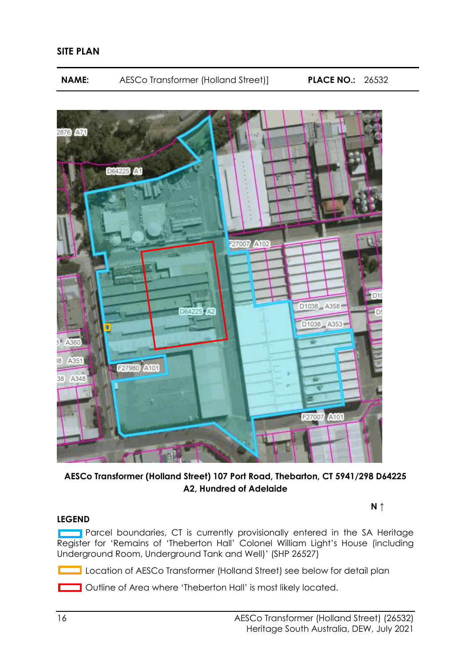

**AESCo Transformer (Holland Street) 107 Port Road, Thebarton, CT 5941/298 D64225 A2, Hundred of Adelaide**

**N ↑**

### **LEGEND**

**Parcel boundaries, CT is currently provisionally entered in the SA Heritage** Register for 'Remains of 'Theberton Hall' Colonel William Light's House (including Underground Room, Underground Tank and Well)' (SHP 26527)

Location of AESCo Transformer (Holland Street) see below for detail plan

**Coutline of Area where 'Theberton Hall' is most likely located.**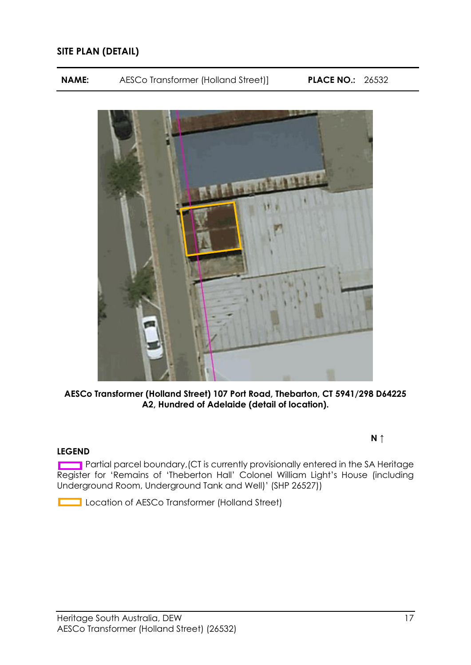### **SITE PLAN (DETAIL)**

**NAME:** AESCo Transformer (Holland Street)] **PLACE NO.:** 26532



**AESCo Transformer (Holland Street) 107 Port Road, Thebarton, CT 5941/298 D64225 A2, Hundred of Adelaide (detail of location).**

#### **LEGEND**

Partial parcel boundary, (CT is currently provisionally entered in the SA Heritage Register for 'Remains of 'Theberton Hall' Colonel William Light's House (including Underground Room, Underground Tank and Well)' (SHP 26527))

Location of AESCo Transformer (Holland Street)

#### **N ↑**